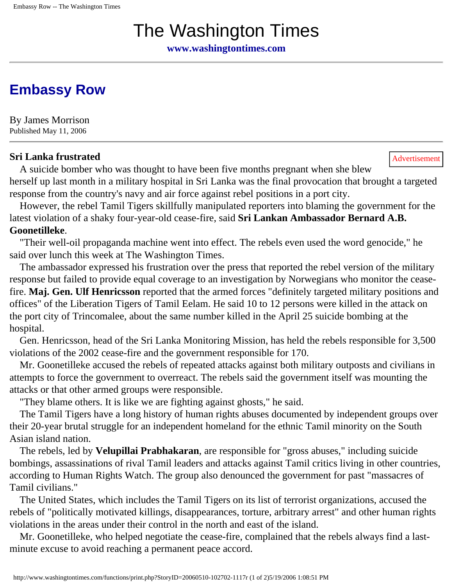# The Washington Times

**[www.washingtontimes.com](http://www.washingtontimes.com/)**

## **[Embassy Row](http://www.washingtontimes.com/world/20060510-102702-1117r.htm)**

By James Morrison Published May 11, 2006

#### **Sri Lanka frustrated** Advertisement

 A suicide bomber who was thought to have been five months pregnant when she blew herself up last month in a military hospital in Sri Lanka was the final provocation that brought a targeted response from the country's navy and air force against rebel positions in a port city.

 However, the rebel Tamil Tigers skillfully manipulated reporters into blaming the government for the latest violation of a shaky four-year-old cease-fire, said **Sri Lankan Ambassador Bernard A.B. Goonetilleke**.

 "Their well-oil propaganda machine went into effect. The rebels even used the word genocide," he said over lunch this week at The Washington Times.

 The ambassador expressed his frustration over the press that reported the rebel version of the military response but failed to provide equal coverage to an investigation by Norwegians who monitor the ceasefire. **Maj. Gen. Ulf Henricsson** reported that the armed forces "definitely targeted military positions and offices" of the Liberation Tigers of Tamil Eelam. He said 10 to 12 persons were killed in the attack on the port city of Trincomalee, about the same number killed in the April 25 suicide bombing at the hospital.

 Gen. Henricsson, head of the Sri Lanka Monitoring Mission, has held the rebels responsible for 3,500 violations of the 2002 cease-fire and the government responsible for 170.

 Mr. Goonetilleke accused the rebels of repeated attacks against both military outposts and civilians in attempts to force the government to overreact. The rebels said the government itself was mounting the attacks or that other armed groups were responsible.

"They blame others. It is like we are fighting against ghosts," he said.

 The Tamil Tigers have a long history of human rights abuses documented by independent groups over their 20-year brutal struggle for an independent homeland for the ethnic Tamil minority on the South Asian island nation.

 The rebels, led by **Velupillai Prabhakaran**, are responsible for "gross abuses," including suicide bombings, assassinations of rival Tamil leaders and attacks against Tamil critics living in other countries, according to Human Rights Watch. The group also denounced the government for past "massacres of Tamil civilians."

 The United States, which includes the Tamil Tigers on its list of terrorist organizations, accused the rebels of "politically motivated killings, disappearances, torture, arbitrary arrest" and other human rights violations in the areas under their control in the north and east of the island.

 Mr. Goonetilleke, who helped negotiate the cease-fire, complained that the rebels always find a lastminute excuse to avoid reaching a permanent peace accord.